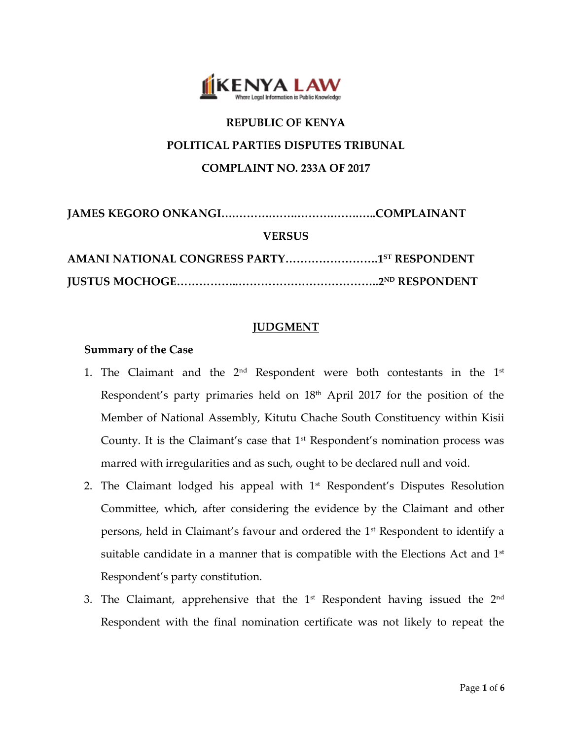

# **REPUBLIC OF KENYA POLITICAL PARTIES DISPUTES TRIBUNAL COMPLAINT NO. 233A OF 2017**

| <b>VERSUS</b>                                           |  |
|---------------------------------------------------------|--|
| AMANI NATIONAL CONGRESS PARTY1 <sup>5T</sup> RESPONDENT |  |
|                                                         |  |

# **JUDGMENT**

## **Summary of the Case**

- 1. The Claimant and the  $2^{\text{nd}}$  Respondent were both contestants in the  $1^{\text{st}}$ Respondent's party primaries held on 18<sup>th</sup> April 2017 for the position of the Member of National Assembly, Kitutu Chache South Constituency within Kisii County. It is the Claimant's case that  $1<sup>st</sup>$  Respondent's nomination process was marred with irregularities and as such, ought to be declared null and void.
- 2. The Claimant lodged his appeal with 1<sup>st</sup> Respondent's Disputes Resolution Committee, which, after considering the evidence by the Claimant and other persons, held in Claimant's favour and ordered the 1<sup>st</sup> Respondent to identify a suitable candidate in a manner that is compatible with the Elections Act and  $1<sup>st</sup>$ Respondent's party constitution.
- 3. The Claimant, apprehensive that the  $1^{\text{st}}$  Respondent having issued the  $2^{\text{nd}}$ Respondent with the final nomination certificate was not likely to repeat the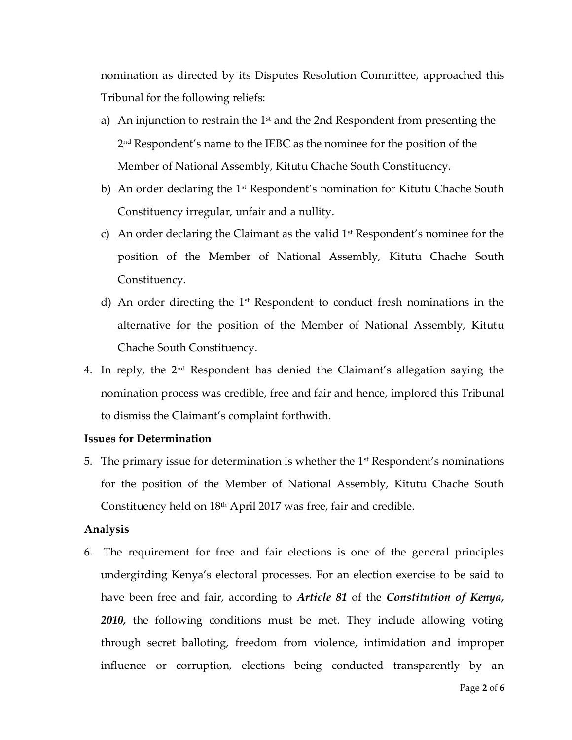nomination as directed by its Disputes Resolution Committee, approached this Tribunal for the following reliefs:

- a) An injunction to restrain the  $1<sup>st</sup>$  and the 2nd Respondent from presenting the 2 nd Respondent's name to the IEBC as the nominee for the position of the Member of National Assembly, Kitutu Chache South Constituency.
- b) An order declaring the 1<sup>st</sup> Respondent's nomination for Kitutu Chache South Constituency irregular, unfair and a nullity.
- c) An order declaring the Claimant as the valid  $1<sup>st</sup>$  Respondent's nominee for the position of the Member of National Assembly, Kitutu Chache South Constituency.
- d) An order directing the  $1<sup>st</sup>$  Respondent to conduct fresh nominations in the alternative for the position of the Member of National Assembly, Kitutu Chache South Constituency.
- 4. In reply, the 2nd Respondent has denied the Claimant's allegation saying the nomination process was credible, free and fair and hence, implored this Tribunal to dismiss the Claimant's complaint forthwith.

## **Issues for Determination**

5. The primary issue for determination is whether the  $1<sup>st</sup>$  Respondent's nominations for the position of the Member of National Assembly, Kitutu Chache South Constituency held on 18<sup>th</sup> April 2017 was free, fair and credible.

#### **Analysis**

6. The requirement for free and fair elections is one of the general principles undergirding Kenya's electoral processes. For an election exercise to be said to have been free and fair, according to *Article 81* of the *Constitution of Kenya, 2010,* the following conditions must be met. They include allowing voting through secret balloting, freedom from violence, intimidation and improper influence or corruption, elections being conducted transparently by an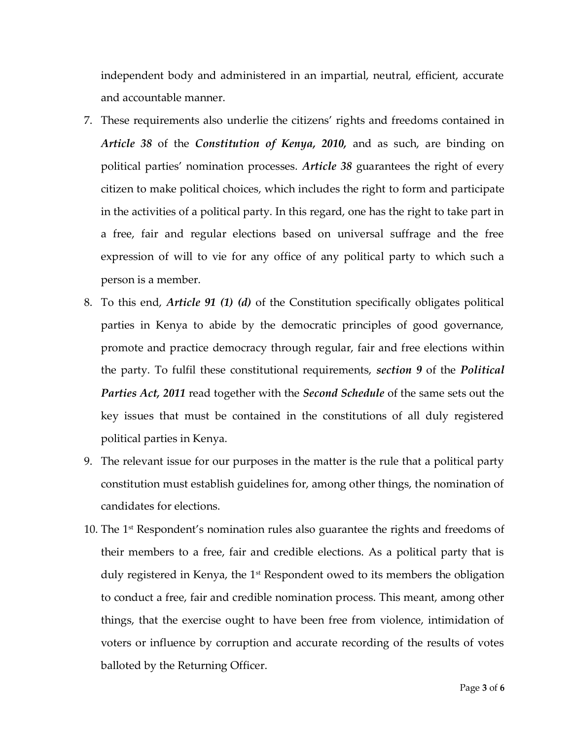independent body and administered in an impartial, neutral, efficient, accurate and accountable manner.

- 7. These requirements also underlie the citizens' rights and freedoms contained in *Article 38* of the *Constitution of Kenya, 2010,* and as such, are binding on political parties' nomination processes. *Article 38* guarantees the right of every citizen to make political choices, which includes the right to form and participate in the activities of a political party. In this regard, one has the right to take part in a free, fair and regular elections based on universal suffrage and the free expression of will to vie for any office of any political party to which such a person is a member.
- 8. To this end, *Article 91 (1) (d)* of the Constitution specifically obligates political parties in Kenya to abide by the democratic principles of good governance, promote and practice democracy through regular, fair and free elections within the party. To fulfil these constitutional requirements, *section 9* of the *Political Parties Act, 2011* read together with the *Second Schedule* of the same sets out the key issues that must be contained in the constitutions of all duly registered political parties in Kenya.
- 9. The relevant issue for our purposes in the matter is the rule that a political party constitution must establish guidelines for, among other things, the nomination of candidates for elections.
- 10. The  $1<sup>st</sup>$  Respondent's nomination rules also guarantee the rights and freedoms of their members to a free, fair and credible elections. As a political party that is duly registered in Kenya, the 1<sup>st</sup> Respondent owed to its members the obligation to conduct a free, fair and credible nomination process. This meant, among other things, that the exercise ought to have been free from violence, intimidation of voters or influence by corruption and accurate recording of the results of votes balloted by the Returning Officer.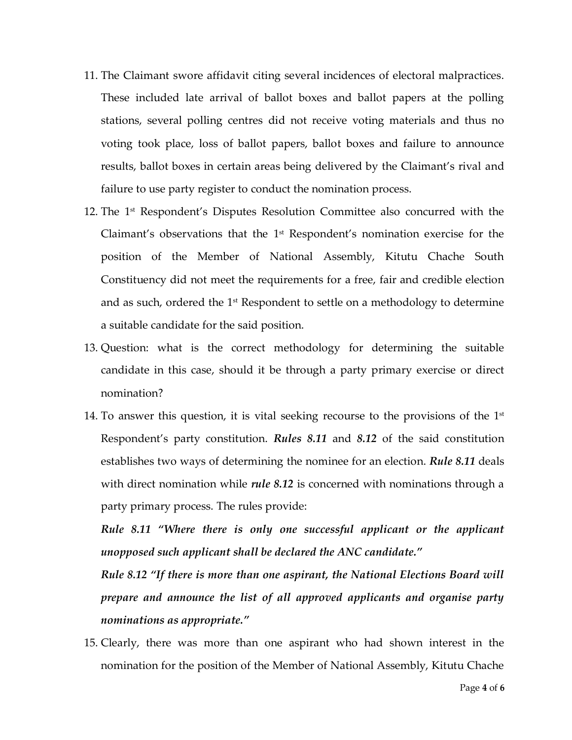- 11. The Claimant swore affidavit citing several incidences of electoral malpractices. These included late arrival of ballot boxes and ballot papers at the polling stations, several polling centres did not receive voting materials and thus no voting took place, loss of ballot papers, ballot boxes and failure to announce results, ballot boxes in certain areas being delivered by the Claimant's rival and failure to use party register to conduct the nomination process.
- 12. The 1<sup>st</sup> Respondent's Disputes Resolution Committee also concurred with the Claimant's observations that the  $1<sup>st</sup>$  Respondent's nomination exercise for the position of the Member of National Assembly, Kitutu Chache South Constituency did not meet the requirements for a free, fair and credible election and as such, ordered the 1<sup>st</sup> Respondent to settle on a methodology to determine a suitable candidate for the said position.
- 13. Question: what is the correct methodology for determining the suitable candidate in this case, should it be through a party primary exercise or direct nomination?
- 14. To answer this question, it is vital seeking recourse to the provisions of the  $1^\text{st}$ Respondent's party constitution. *Rules 8.11* and *8.12* of the said constitution establishes two ways of determining the nominee for an election. *Rule 8.11* deals with direct nomination while *rule* 8.12 is concerned with nominations through a party primary process. The rules provide:

*Rule 8.11 "Where there is only one successful applicant or the applicant unopposed such applicant shall be declared the ANC candidate."*

*Rule 8.12 "If there is more than one aspirant, the National Elections Board will prepare and announce the list of all approved applicants and organise party nominations as appropriate."* 

15. Clearly, there was more than one aspirant who had shown interest in the nomination for the position of the Member of National Assembly, Kitutu Chache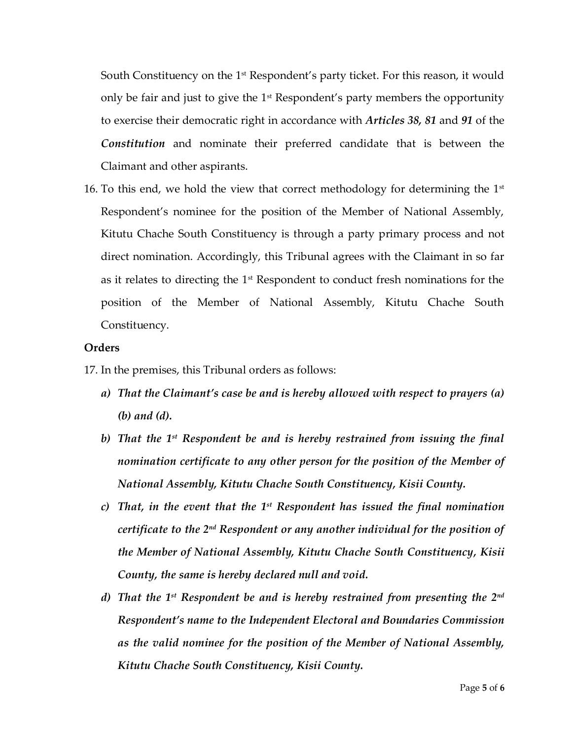South Constituency on the  $1<sup>st</sup>$  Respondent's party ticket. For this reason, it would only be fair and just to give the 1<sup>st</sup> Respondent's party members the opportunity to exercise their democratic right in accordance with *Articles 38, 81* and *91* of the *Constitution* and nominate their preferred candidate that is between the Claimant and other aspirants.

16. To this end, we hold the view that correct methodology for determining the  $1<sup>st</sup>$ Respondent's nominee for the position of the Member of National Assembly, Kitutu Chache South Constituency is through a party primary process and not direct nomination. Accordingly, this Tribunal agrees with the Claimant in so far as it relates to directing the  $1<sup>st</sup>$  Respondent to conduct fresh nominations for the position of the Member of National Assembly, Kitutu Chache South Constituency.

### **Orders**

- 17. In the premises, this Tribunal orders as follows:
	- *a) That the Claimant's case be and is hereby allowed with respect to prayers (a) (b) and (d).*
	- *b) That the 1st Respondent be and is hereby restrained from issuing the final nomination certificate to any other person for the position of the Member of National Assembly, Kitutu Chache South Constituency, Kisii County.*
	- *c) That, in the event that the 1st Respondent has issued the final nomination certificate to the 2nd Respondent or any another individual for the position of the Member of National Assembly, Kitutu Chache South Constituency, Kisii County, the same is hereby declared null and void.*
	- *d) That the 1st Respondent be and is hereby restrained from presenting the 2nd Respondent's name to the Independent Electoral and Boundaries Commission as the valid nominee for the position of the Member of National Assembly, Kitutu Chache South Constituency, Kisii County.*